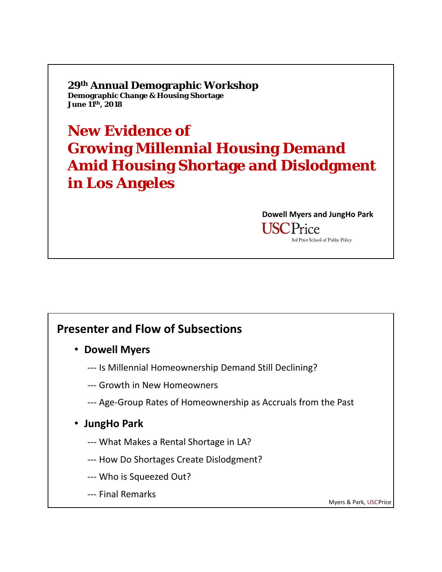**29th Annual Demographic Workshop Demographic Change & Housing Shortage June 11th, 2018**

**New Evidence of Growing Millennial Housing Demand Amid Housing Shortage and Dislodgment in Los Angeles**

> **Dowell Myers and JungHo Park USCPrice** Sol Price School of Public Policy

#### **Presenter and Flow of Subsections**

- **Dowell Myers**
	- ‐‐‐ Is Millennial Homeownership Demand Still Declining?
	- ‐‐‐ Growth in New Homeowners
	- ‐‐‐ Age‐Group Rates of Homeownership as Accruals from the Past
- **JungHo Park**
	- ‐‐‐ What Makes a Rental Shortage in LA?
	- ‐‐‐ How Do Shortages Create Dislodgment?
	- ‐‐‐ Who is Squeezed Out?
	- ‐‐‐ Final Remarks

Myers & Park, USCPrice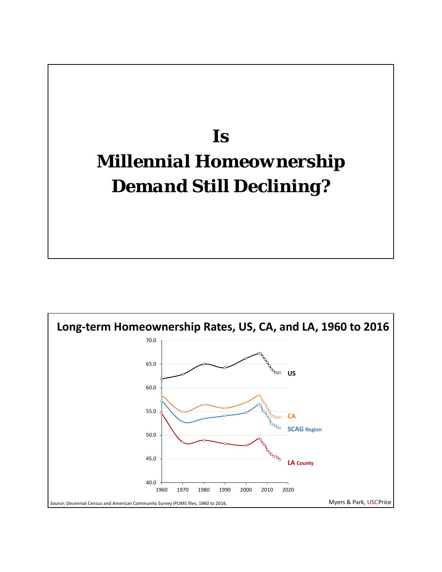# *Is Millennial Homeownership Demand Still Declining?*

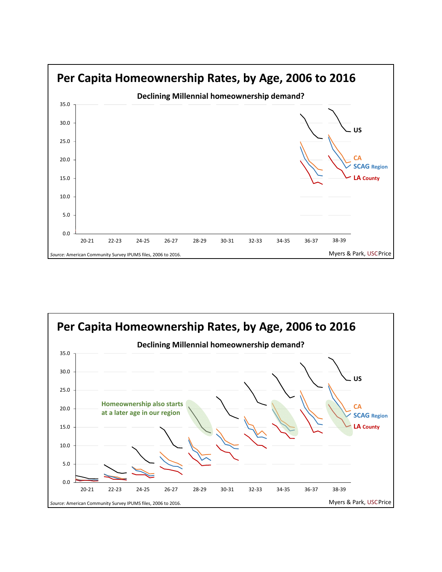

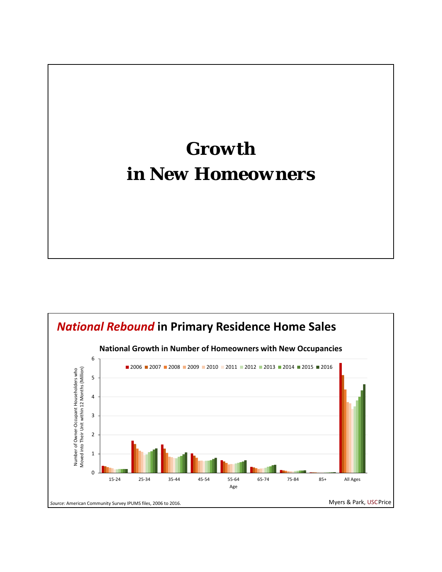### *Growth in New Homeowners*

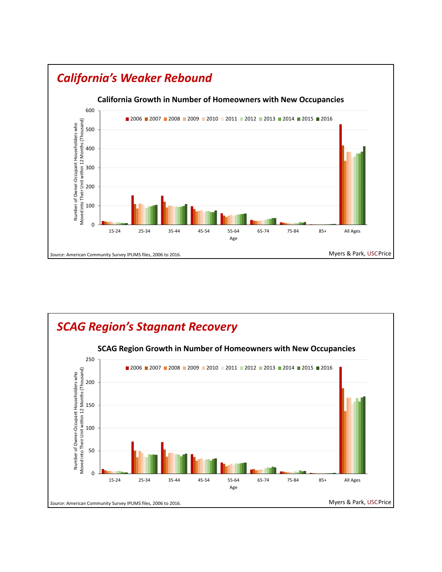

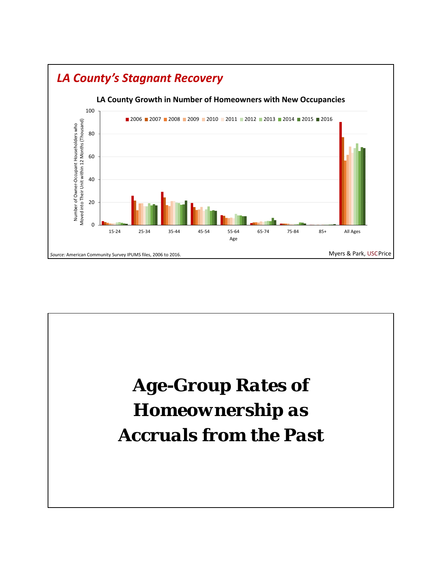

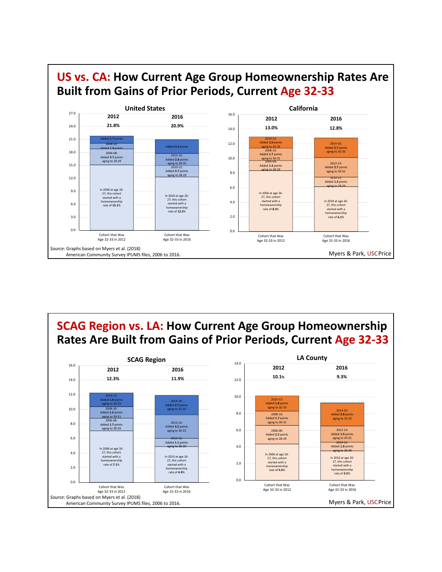

**SCAG Region vs. LA: How Current Age Group Homeownership Rates Are Built from Gains of Prior Periods, Current Age 32‐33** 14.0 **LA County** 16.0 **SCAG Region**

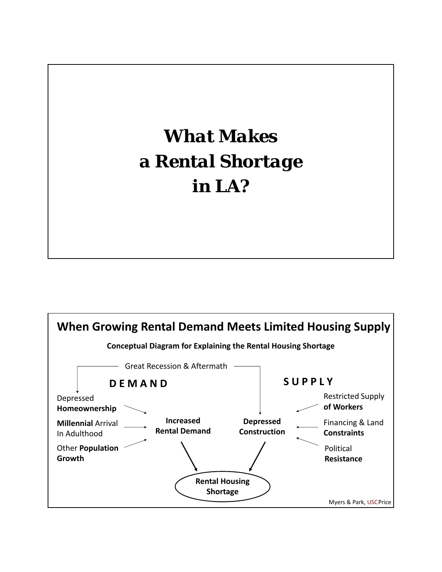# *What Makes a Rental Shortage in LA?*

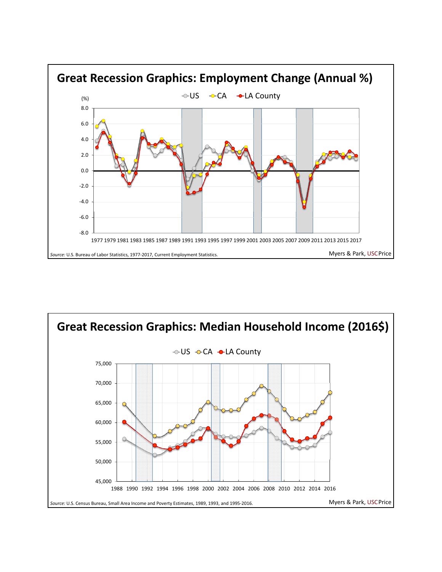

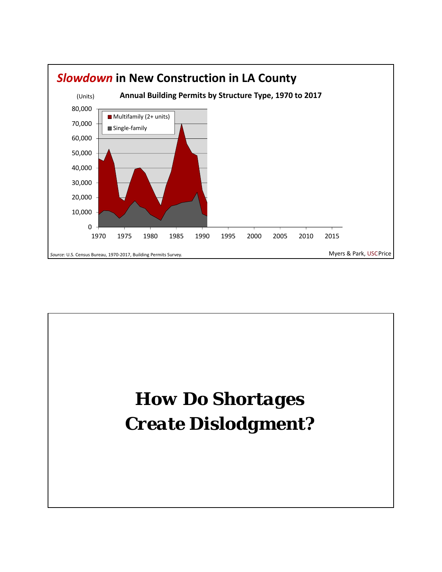

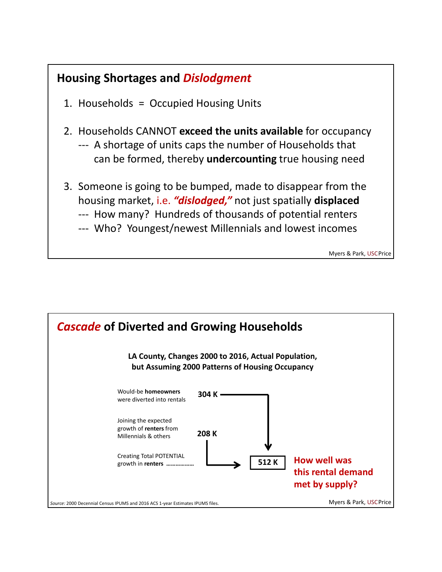#### **Housing Shortages and** *Dislodgment*

- 1. Households = Occupied Housing Units
- 2. Households CANNOT **exceed the units available** for occupancy
	- ‐‐‐ A shortage of units caps the number of Households that can be formed, thereby **undercounting** true housing need
- 3. Someone is going to be bumped, made to disappear from the housing market, i.e. *"dislodged,"* not just spatially **displaced**
	- ‐‐‐ How many? Hundreds of thousands of potential renters
	- ‐‐‐ Who? Youngest/newest Millennials and lowest incomes

Myers & Park, USCPrice

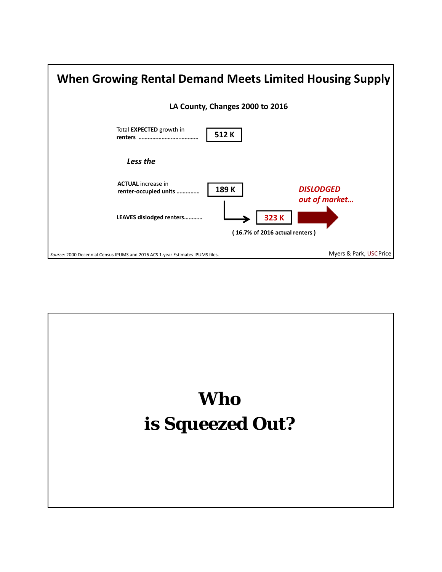

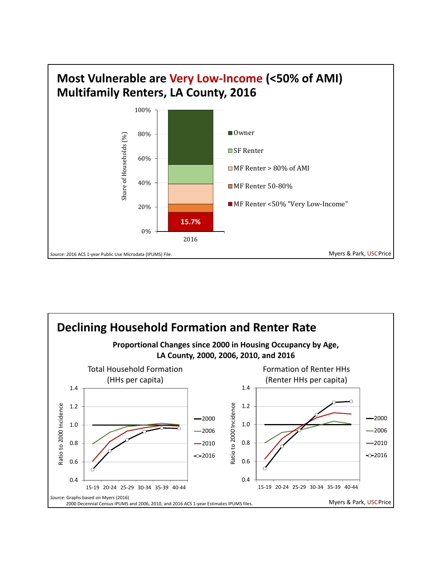



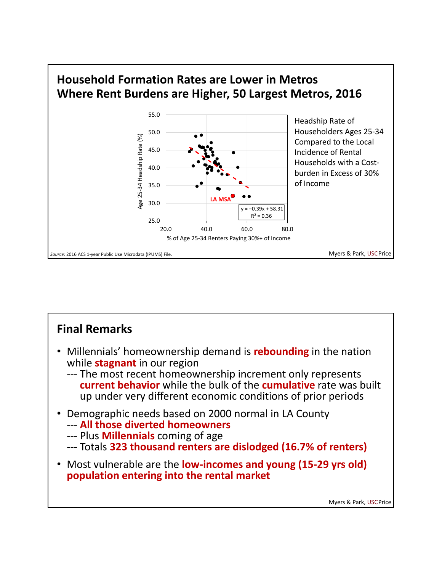

### **Final Remarks**

- Millennials' homeownership demand is **rebounding** in the nation while **stagnant** in our region
	- --- The most recent homeownership increment only represents **current behavior** while the bulk of the **cumulative** rate was built up under very different economic conditions of prior periods
- Demographic needs based on 2000 normal in LA County
	- ‐‐‐ **All those diverted homeowners**
	- ‐‐‐ Plus **Millennials** coming of age
	- ‐‐‐ Totals **323 thousand renters are dislodged (16.7% of renters)**
- Most vulnerable are the **low‐incomes and young (15‐29 yrs old) population entering into the rental market**

Myers & Park, USCPrice